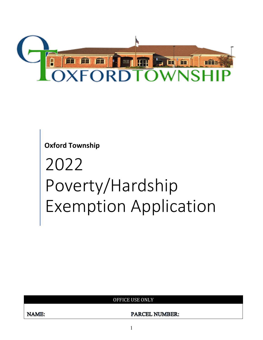

**Oxford Township**

# 2022 Poverty/Hardship Exemption Application

OFFICE USE ONLY

**PARCEL NUMBER:**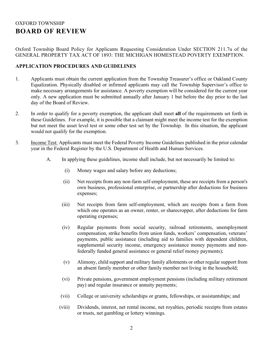## OXFORD TOWNSHIP **BOARD OF REVIEW**

Oxford Township Board Policy for Applicants Requesting Consideration Under SECTION 211.7u of the GENERAL PROPERTY TAX ACT OF 1893: THE MICHIGAN HOMESTEAD POVERTY EXEMPTION.

#### **APPLICATION PROCEDURES AND GUIDELINES**

- 1. Applicants must obtain the current application from the Township Treasurer's office or Oakland County Equalization. Physically disabled or infirmed applicants may call the Township Supervisor's office to make necessary arrangements for assistance. A poverty exemption will be considered for the current year only. A new application must be submitted annually after January 1 but before the day prior to the last day of the Board of Review.
- 2. In order to qualify for a poverty exemption, the applicant shall meet **all** of the requirements set forth in these Guidelines. For example, it is possible that a claimant might meet the income test for the exemption but not meet the asset level test or some other test set by the Township. In this situation, the applicant would not qualify for the exemption.
- 3. Income Test: Applicants must meet the Federal Poverty Income Guidelines published in the prior calendar year in the Federal Register by the U.S. Department of Health and Human Services.
	- A. In applying these guidelines, income shall include, but not necessarily be limited to:
		- (i) Money wages and salary before any deductions;
		- (ii) Net receipts from any non-farm self-employment, these are receipts from a person's own business, professional enterprise, or partnership after deductions for business expenses;
		- (iii) Net receipts from farm self-employment, which are receipts from a farm from which one operates as an owner, renter, or sharecropper, after deductions for farm operating expenses;
		- (iv) Regular payments from social security, railroad retirements, unemployment compensation, strike benefits from union funds, workers' compensation, veterans' payments, public assistance (including aid to families with dependent children, supplemental security income, emergency assistance money payments and nonfederally funded general assistance or general relief money payments);
		- (v) Alimony, child support and military family allotments or other regular support from an absent family member or other family member not living in the household;
		- (vi) Private pensions, government employment pensions (including military retirement pay) and regular insurance or annuity payments;
		- (vii) College or university scholarships or grants, fellowships, or assistantships; and
		- (viii) Dividends, interest, net rental income, net royalties, periodic receipts from estates or trusts, net gambling or lottery winnings.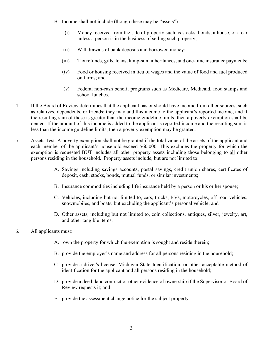- B. Income shall not include (though these may be "assets"):
	- (i) Money received from the sale of property such as stocks, bonds, a house, or a car unless a person is in the business of selling such property;
	- (ii) Withdrawals of bank deposits and borrowed money;
	- (iii) Tax refunds, gifts, loans, lump-sum inheritances, and one-time insurance payments;
	- (iv) Food or housing received in lieu of wages and the value of food and fuel produced on farms; and
	- (v) Federal non-cash benefit programs such as Medicare, Medicaid, food stamps and school lunches.
- 4. If the Board of Review determines that the applicant has or should have income from other sources, such as relatives, dependents, or friends; they may add this income to the applicant's reported income, and if the resulting sum of these is greater than the income guideline limits, then a poverty exemption shall be denied. If the amount of this income is added to the applicant's reported income and the resulting sum is less than the income guideline limits, then a poverty exemption may be granted.
- 5. Assets Test: A poverty exemption shall not be granted if the total value of the assets of the applicant and each member of the applicant's household exceed \$60,000. This excludes the property for which the exemption is requested BUT includes all other property assets including those belonging to all other persons residing in the household. Property assets include, but are not limited to:
	- A. Savings including savings accounts, postal savings, credit union shares, certificates of deposit, cash, stocks, bonds, mutual funds, or similar investments;
	- B. Insurance commodities including life insurance held by a person or his or her spouse;
	- C. Vehicles, including but not limited to, cars, trucks, RVs, motorcycles, off-road vehicles, snowmobiles, and boats, but excluding the applicant's personal vehicle; and
	- D. Other assets, including but not limited to, coin collections, antiques, silver, jewelry, art, and other tangible items.
- 6. All applicants must:
	- A. own the property for which the exemption is sought and reside therein;
	- B. provide the employer's name and address for all persons residing in the household;
	- C. provide a driver's license, Michigan State Identification, or other acceptable method of identification for the applicant and all persons residing in the household;
	- D. provide a deed, land contract or other evidence of ownership if the Supervisor or Board of Review requests it; and
	- E. provide the assessment change notice for the subject property.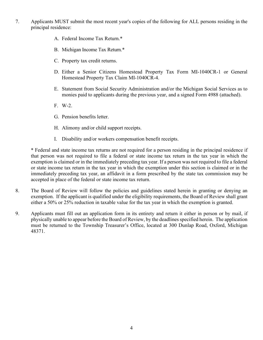- 7. Applicants MUST submit the most recent year's copies of the following for ALL persons residing in the principal residence:
	- A. Federal Income Tax Return.\*
	- B. Michigan Income Tax Return.\*
	- C. Property tax credit returns.
	- D. Either a Senior Citizens Homestead Property Tax Form MI-1040CR-1 or General Homestead Property Tax Claim MI-1040CR-4.
	- E. Statement from Social Security Administration and/or the Michigan Social Services as to monies paid to applicants during the previous year, and a signed Form 4988 (attached).
	- F. W-2.
	- G. Pension benefits letter.
	- H. Alimony and/or child support receipts.
	- I. Disability and/or workers compensation benefit receipts.

\* Federal and state income tax returns are not required for a person residing in the principal residence if that person was not required to file a federal or state income tax return in the tax year in which the exemption is claimed or in the immediately preceding tax year. If a person was not required to file a federal or state income tax return in the tax year in which the exemption under this section is claimed or in the immediately preceding tax year, an affidavit in a form prescribed by the state tax commission may be accepted in place of the federal or state income tax return.

- 8. The Board of Review will follow the policies and guidelines stated herein in granting or denying an exemption. If the applicant is qualified under the eligibility requirements, the Board of Review shall grant either a 50% or 25% reduction in taxable value for the tax year in which the exemption is granted.
- 9. Applicants must fill out an application form in its entirety and return it either in person or by mail, if physically unable to appear before the Board of Review, by the deadlines specified herein. The application must be returned to the Township Treasurer's Office, located at 300 Dunlap Road, Oxford, Michigan 48371.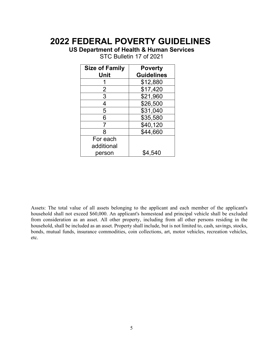# **2022 FEDERAL POVERTY GUIDELINES**

**US Department of Health & Human Services**

| <b>Size of Family</b> | <b>Poverty</b>    |
|-----------------------|-------------------|
| Unit                  | <b>Guidelines</b> |
|                       | \$12,880          |
| $\overline{2}$        | \$17,420          |
| 3                     | \$21,960          |
| 4                     | \$26,500          |
| 5                     | \$31,040          |
| 6                     | \$35,580          |
| 7                     | \$40,120          |
| 8                     | \$44,660          |
| For each              |                   |
| additional            |                   |
| person                | \$4.540           |

STC Bulletin 17 of 2021

Assets: The total value of all assets belonging to the applicant and each member of the applicant's household shall not exceed \$60,000. An applicant's homestead and principal vehicle shall be excluded from consideration as an asset. All other property, including from all other persons residing in the household, shall be included as an asset. Property shall include, but is not limited to, cash, savings, stocks, bonds, mutual funds, insurance commodities, coin collections, art, motor vehicles, recreation vehicles, etc.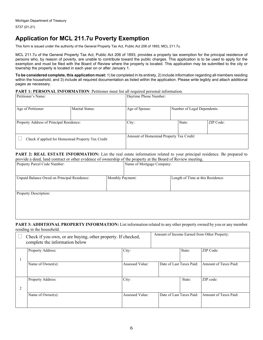## **Application for MCL 211.7u Poverty Exemption**

This form is issued under the authority of the General Property Tax Act, Public Act 206 of 1893, MCL 211.7u.

MCL 211.7u of the General Property Tax Act, Public Act 206 of 1893, provides a property tax exemption for the principal residence of persons who, by reason of poverty, are unable to contribute toward the public charges. This application is to be used to apply for the exemption and must be filed with the Board of Review where the property is located. This application may be submitted to the city or township the property is located in each year on or after January 1.

**To be considered complete, this application must:** 1) be completed in its entirety, 2) include information regarding all members residing within the household, and 3) include all required documentation as listed within the application. Please write legibly and attach additional pages as necessary.

#### **PART 1: PERSONAL INFORMATION:** Petitioner must list all required personal information.

| Petitioner's Name:                                 |  | Daytime Phone Number:                         |  |        |           |
|----------------------------------------------------|--|-----------------------------------------------|--|--------|-----------|
| Age of Petitioner:<br>Marital Status:              |  | Age of Spouse:<br>Number of Legal Dependents: |  |        |           |
| Property Address of Principal Residence:           |  | City:                                         |  | State: | ZIP Code: |
| Check if applied for Homestead Property Tax Credit |  | Amount of Homestead Property Tax Credit:      |  |        |           |

**PART 2: REAL ESTATE INFORMATION:** List the real estate information related to your principal residence. Be prepared to provide a deed, land contract or other evidence of ownership of the property at the Board of Review meeting.

| Property Parcel Code Number:                | Name of Mortgage Company: |                                   |
|---------------------------------------------|---------------------------|-----------------------------------|
| Unpaid Balance Owed on Principal Residence: | Monthly Payment:          | Length of Time at this Residence: |
|                                             |                           |                                   |
| Property Description:                       |                           |                                   |
|                                             |                           |                                   |

#### **PART 3: ADDITIONAL PROPERTY INFORMATION:** List information related to any other property owned by you or any member residing in the household.

|   | Check if you own, or are buying, other property. If checked,<br>complete the information below |                 |                          |        | Amount of Income Earned from Other Property: |
|---|------------------------------------------------------------------------------------------------|-----------------|--------------------------|--------|----------------------------------------------|
|   | Property Address:                                                                              | City:           |                          | State: | ZIP Code:                                    |
|   | Name of Owner(s):                                                                              | Assessed Value: | Date of Last Taxes Paid: |        | Amount of Taxes Paid:                        |
| 2 | <b>Property Address:</b>                                                                       | City:           |                          | State: | ZIP code:                                    |
|   | Name of Owner(s):                                                                              | Assessed Value: | Date of Last Taxes Paid: |        | Amount of Taxes Paid:                        |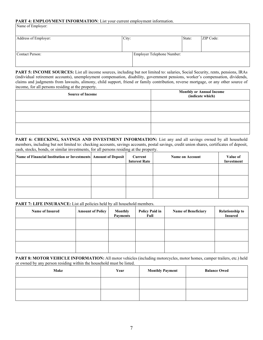#### PART 4: EMPLOYMENT INFORMATION: List your current employment information.

| Name of Employer:    |       |                            |        |           |
|----------------------|-------|----------------------------|--------|-----------|
| Address of Employer: | City: |                            | State: | ZIP Code: |
| Contact Person:      |       | Employer Telephone Number: |        |           |

**PART 5: INCOME SOURCES:** List all income sources, including but not limited to: salaries, Social Security, rents, pensions, IRAs (individual retirement accounts), unemployment compensation, disability, government pensions, worker's compensation, dividends, claims and judgments from lawsuits, alimony, child support, friend or family contribution, reverse mortgage, or any other source of income, for all persons residing at the property.

| <b>Source of Income</b> | <b>Monthly or Annual Income</b><br>(indicate which) |
|-------------------------|-----------------------------------------------------|
|                         |                                                     |
|                         |                                                     |
|                         |                                                     |

PART 6: CHECKING, SAVINGS AND INVESTMENT INFORMATION: List any and all savings owned by all household members, including but not limited to: checking accounts, savings accounts, postal savings, credit union shares, certificates of deposit, cash, stocks, bonds, or similar investments, for all persons residing at the property.

| Name of Financial Institution or Investments Amount of Deposit | Current<br><b>Interest Rate</b> | <b>Name on Account</b> | Value of<br>Investment |
|----------------------------------------------------------------|---------------------------------|------------------------|------------------------|
|                                                                |                                 |                        |                        |
|                                                                |                                 |                        |                        |
|                                                                |                                 |                        |                        |

PART 7: LIFE INSURANCE: List all policies held by all household members.

| <b>Name of Insured</b> | <b>Amount of Policy</b> | <b>Monthly</b><br><b>Payments</b> | <b>Policy Paid in</b><br>Full | <b>Name of Beneficiary</b> | <b>Relationship to</b><br><b>Insured</b> |
|------------------------|-------------------------|-----------------------------------|-------------------------------|----------------------------|------------------------------------------|
|                        |                         |                                   |                               |                            |                                          |
|                        |                         |                                   |                               |                            |                                          |
|                        |                         |                                   |                               |                            |                                          |

**PART 8: MOTOR VEHICLE INFORMATION:** All motor vehicles (including motorcycles, motor homes, camper trailers, etc.) held or owned by any person residing within the household must be listed.

| <b>Make</b> | Year | <b>Monthly Payment</b> | <b>Balance Owed</b> |
|-------------|------|------------------------|---------------------|
|             |      |                        |                     |
|             |      |                        |                     |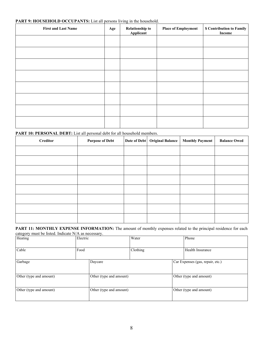#### PART 9: HOUSEHOLD OCCUPANTS: List all persons living in the household.

| <b>First and Last Name</b> | Age | <b>Relationship to</b><br>Applicant | <b>Place of Employment</b> | \$ Contribution to Family<br>Income |
|----------------------------|-----|-------------------------------------|----------------------------|-------------------------------------|
|                            |     |                                     |                            |                                     |
|                            |     |                                     |                            |                                     |
|                            |     |                                     |                            |                                     |
|                            |     |                                     |                            |                                     |
|                            |     |                                     |                            |                                     |
|                            |     |                                     |                            |                                     |
|                            |     |                                     |                            |                                     |
|                            |     |                                     |                            |                                     |

#### PART 10: PERSONAL DEBT: List all personal debt for all household members.

| <b>Creditor</b> | <b>Purpose of Debt</b> | Date of Debt   Original Balance | Monthly Payment | <b>Balance Owed</b> |
|-----------------|------------------------|---------------------------------|-----------------|---------------------|
|                 |                        |                                 |                 |                     |
|                 |                        |                                 |                 |                     |
|                 |                        |                                 |                 |                     |
|                 |                        |                                 |                 |                     |
|                 |                        |                                 |                 |                     |
|                 |                        |                                 |                 |                     |
|                 |                        |                                 |                 |                     |
|                 |                        |                                 |                 |                     |

PART 11: MONTHLY EXPENSE INFORMATION: The amount of monthly expenses related to the principal residence for each category must be listed. Indicate N/A as necessary.

| Heating                 | Electric                |                         | Water    |                                  | Phone                   |
|-------------------------|-------------------------|-------------------------|----------|----------------------------------|-------------------------|
| Cable                   | Food                    |                         | Clothing |                                  | Health Insurance        |
| Garbage                 |                         | Daycare                 |          | Car Expenses (gas, repair, etc.) |                         |
| Other (type and amount) |                         | Other (type and amount) |          |                                  | Other (type and amount) |
| Other (type and amount) | Other (type and amount) |                         |          |                                  | Other (type and amount) |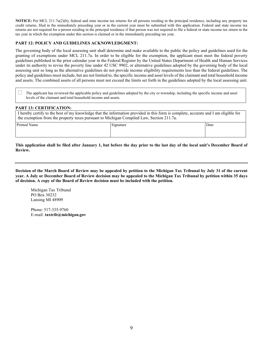**NOTICE:** Per MCL 211.7u(2)(b), federal and state income tax returns for all persons residing in the principal residence, including any property tax credit returns, filed in the immediately preceding year or in the current year must be submitted with this application. Federal and state income tax returns are not required for a person residing in the principal residence if that person was not required to file a federal or state income tax return in the tax year in which the exemption under this section is claimed or in the immediately preceding tax year.

#### **PART 12: POLICY AND GUIDELINES ACKNOWLEDGMENT:**

The governing body of the local assessing unit shall determine and make available to the public the policy and guidelines used for the granting of exemptions under MCL 211.7u. In order to be eligible for the exemption, the applicant must meet the federal poverty guidelines published in the prior calendar year in the Federal Register by the United States Department of Health and Human Services under its authority to revise the poverty line under 42 USC 9902, or alternative guidelines adopted by the governing body of the local assessing unit so long as the alternative guidelines do not provide income eligibility requirements less than the federal guidelines. The policy and guidelines must include, but are not limited to, the specific income and asset levels of the claimant and total household income and assets. The combined assets of all persons must not exceed the limits set forth in the guidelines adopted by the local assessing unit.

 The applicant has reviewed the applicable policy and guidelines adopted by the city or township, including the specific income and asset levels of the claimant and total household income and assets.

#### **PART 13: CERTIFICATION:**

 I hereby certify to the best of my knowledge that the information provided in this form is complete, accurate and I am eligible for the exemption from the property taxes pursuant to Michigan Compiled Law, Section 211.7u.

| <b>Printed Name</b> | Signature | Date |
|---------------------|-----------|------|
|                     |           |      |

**This application shall be filed after January 1, but before the day prior to the last day of the local unit's December Board of Review.**

**Decision of the March Board of Review may be appealed by petition to the Michigan Tax Tribunal by July 31 of the current year. A July or December Board of Review decision may be appealed to the Michigan Tax Tribunal by petition within 35 days of decision. A copy of the Board of Review decision must be included with the petition.**

Michigan Tax Tribunal PO Box 30232 Lansing MI 48909

Phone: 517-335-9760 E-mail: **taxtrib@michigan.gov**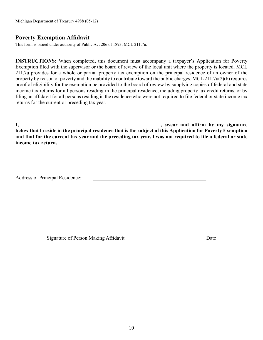Michigan Department of Treasury 4988 (05-12)

#### **Poverty Exemption Affidavit**

This form is issued under authority of Public Act 206 of 1893; MCL 211.7u.

**INSTRUCTIONS:** When completed, this document must accompany a taxpayer's Application for Poverty Exemption filed with the supervisor or the board of review of the local unit where the property is located. MCL 211.7u provides for a whole or partial property tax exemption on the principal residence of an owner of the property by reason of poverty and the inability to contribute toward the public charges. MCL 211.7u(2)(b) requires proof of eligibility for the exemption be provided to the board of review by supplying copies of federal and state income tax returns for all persons residing in the principal residence, including property tax credit returns, or by filing an affidavit for all persons residing in the residence who were not required to file federal or state income tax returns for the current or preceding tax year.

**I,** we are and affirm by my signature  $\cdot$  swear and affirm by my signature **below that I reside in the principal residence that is the subject of this Application for Poverty Exemption and that for the current tax year and the preceding tax year, I was not required to file a federal or state income tax return.**

 $\mathcal{L}_\mathcal{L}$  , which is a set of the set of the set of the set of the set of the set of the set of the set of the set of the set of the set of the set of the set of the set of the set of the set of the set of the set of

Address of Principal Residence:

Signature of Person Making Affidavit **Date** Date Date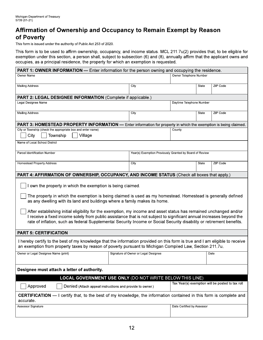## Affirmation of Ownership and Occupancy to Remain Exempt by Reason of Poverty

This form is issued under the authority of Public Act 253 of 2020.

This form is to be used to affirm ownership, occupancy, and income status. MCL 211.7u(2) provides that, to be eligible for exemption under this section, a person shall, subject to subsection (6) and (8), annually affirm that the applicant owns and occupies, as a principal residence, the property for which an exemption is requested.

| PART 1: OWNER INFORMATION - Enter information for the person owning and occupying the residence.                                                                                                                                            |                                      |                                                         |                                                  |          |  |
|---------------------------------------------------------------------------------------------------------------------------------------------------------------------------------------------------------------------------------------------|--------------------------------------|---------------------------------------------------------|--------------------------------------------------|----------|--|
| Owner Name                                                                                                                                                                                                                                  |                                      |                                                         | Owner Telephone Number                           |          |  |
| <b>Mailing Address</b>                                                                                                                                                                                                                      | City                                 |                                                         | <b>State</b>                                     | ZIP Code |  |
|                                                                                                                                                                                                                                             |                                      |                                                         |                                                  |          |  |
| PART 2: LEGAL DESIGNEE INFORMATION (Complete if applicable.)                                                                                                                                                                                |                                      |                                                         |                                                  |          |  |
| Legal Designee Name                                                                                                                                                                                                                         |                                      |                                                         | Daytime Telephone Number                         |          |  |
| <b>Mailing Address</b>                                                                                                                                                                                                                      | City                                 |                                                         | <b>State</b>                                     | ZIP Code |  |
|                                                                                                                                                                                                                                             |                                      |                                                         |                                                  |          |  |
| <b>PART 3: HOMESTEAD PROPERTY INFORMATION</b> — Enter information for property in which the exemption is being claimed.                                                                                                                     |                                      |                                                         |                                                  |          |  |
| City or Township (check the appropriate box and enter name)                                                                                                                                                                                 |                                      | County                                                  |                                                  |          |  |
| City<br>Village<br>Township                                                                                                                                                                                                                 |                                      |                                                         |                                                  |          |  |
| Name of Local School District                                                                                                                                                                                                               |                                      |                                                         |                                                  |          |  |
| Parcel Identification Number                                                                                                                                                                                                                |                                      |                                                         |                                                  |          |  |
|                                                                                                                                                                                                                                             |                                      | Year(s) Exemption Previously Granted by Board of Review |                                                  |          |  |
| <b>Homestead Property Address</b>                                                                                                                                                                                                           | City                                 |                                                         | State                                            | ZIP Code |  |
|                                                                                                                                                                                                                                             |                                      |                                                         |                                                  |          |  |
| PART 4: AFFIRMATION OF OWNERSHIP, OCCUPANCY, AND INCOME STATUS (Check all boxes that apply.)                                                                                                                                                |                                      |                                                         |                                                  |          |  |
| I own the property in which the exemption is being claimed.                                                                                                                                                                                 |                                      |                                                         |                                                  |          |  |
|                                                                                                                                                                                                                                             |                                      |                                                         |                                                  |          |  |
| The property in which the exemption is being claimed is used as my homestead. Homestead is generally defined<br>as any dwelling with its land and buildings where a family makes its home.                                                  |                                      |                                                         |                                                  |          |  |
|                                                                                                                                                                                                                                             |                                      |                                                         |                                                  |          |  |
| After establishing initial eligibility for the exemption, my income and asset status has remained unchanged and/or<br>I receive a fixed income solely from public assistance that is not subject to significant annual increases beyond the |                                      |                                                         |                                                  |          |  |
| rate of inflation, such as federal Supplemental Security Income or Social Security disability or retirement benefits.                                                                                                                       |                                      |                                                         |                                                  |          |  |
|                                                                                                                                                                                                                                             |                                      |                                                         |                                                  |          |  |
| <b>PART 5: CERTIFICATION</b>                                                                                                                                                                                                                |                                      |                                                         |                                                  |          |  |
| I hereby certify to the best of my knowledge that the information provided on this form is true and I am eligible to receive<br>an exemption from property taxes by reason of poverty pursuant to Michigan Compiled Law, Section 211.7u.    |                                      |                                                         |                                                  |          |  |
| Owner or Legal Designee Name (print)                                                                                                                                                                                                        | Signature of Owner or Legal Designee |                                                         |                                                  | Date     |  |
|                                                                                                                                                                                                                                             |                                      |                                                         |                                                  |          |  |
| Designee must attach a letter of authority.                                                                                                                                                                                                 |                                      |                                                         |                                                  |          |  |
| LOCAL GOVERNMENT USE ONLY (DO NOT WRITE BELOW THIS LINE)                                                                                                                                                                                    |                                      |                                                         |                                                  |          |  |
| Approved<br>Denied (Attach appeal instructions and provide to owner.)                                                                                                                                                                       |                                      |                                                         | Tax Year(s) exemption will be posted to tax roll |          |  |
| <b>CERTIFICATION</b> — I certify that, to the best of my knowledge, the information contained in this form is complete and<br>accurate.                                                                                                     |                                      |                                                         |                                                  |          |  |
| <b>Assessor Signature</b>                                                                                                                                                                                                                   |                                      | Date Certified by Assessor                              |                                                  |          |  |
|                                                                                                                                                                                                                                             |                                      |                                                         |                                                  |          |  |